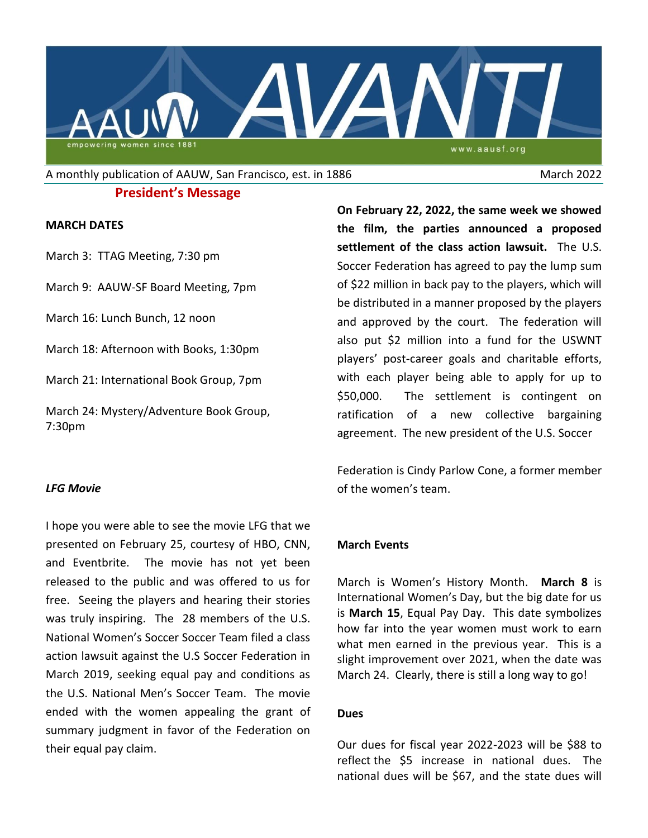

A monthly publication of AAUW, San Francisco, est. in 1886 March 2022

# **President's Message**

## **MARCH DATES**

March 3: TTAG Meeting, 7:30 pm

March 9: AAUW-SF Board Meeting, 7pm

March 16: Lunch Bunch, 12 noon

March 18: Afternoon with Books, 1:30pm

March 21: International Book Group, 7pm

March 24: Mystery/Adventure Book Group, 7:30pm

# *LFG Movie*

I hope you were able to see the movie LFG that we presented on February 25, courtesy of HBO, CNN, and Eventbrite. The movie has not yet been released to the public and was offered to us for free. Seeing the players and hearing their stories was truly inspiring. The 28 members of the U.S. National Women's Soccer Soccer Team filed a class action lawsuit against the U.S Soccer Federation in March 2019, seeking equal pay and conditions as the U.S. National Men's Soccer Team. The movie ended with the women appealing the grant of summary judgment in favor of the Federation on their equal pay claim.

**On February 22, 2022, the same week we showed the film, the parties announced a proposed settlement of the class action lawsuit.** The U.S. Soccer Federation has agreed to pay the lump sum of \$22 million in back pay to the players, which will be distributed in a manner proposed by the players and approved by the court. The federation will also put \$2 million into a fund for the USWNT players' post-career goals and charitable efforts, with each player being able to apply for up to \$50,000. The settlement is contingent on ratification of a new collective bargaining agreement. The new president of the U.S. Soccer

Federation is Cindy Parlow Cone, a former member of the women's team.

# **March Events**

March is Women's History Month. **March 8** is International Women's Day, but the big date for us is **March 15**, Equal Pay Day. This date symbolizes how far into the year women must work to earn what men earned in the previous year. This is a slight improvement over 2021, when the date was March 24. Clearly, there is still a long way to go!

# **Dues**

Our dues for fiscal year 2022-2023 will be \$88 to reflect the \$5 increase in national dues. The national dues will be \$67, and the state dues will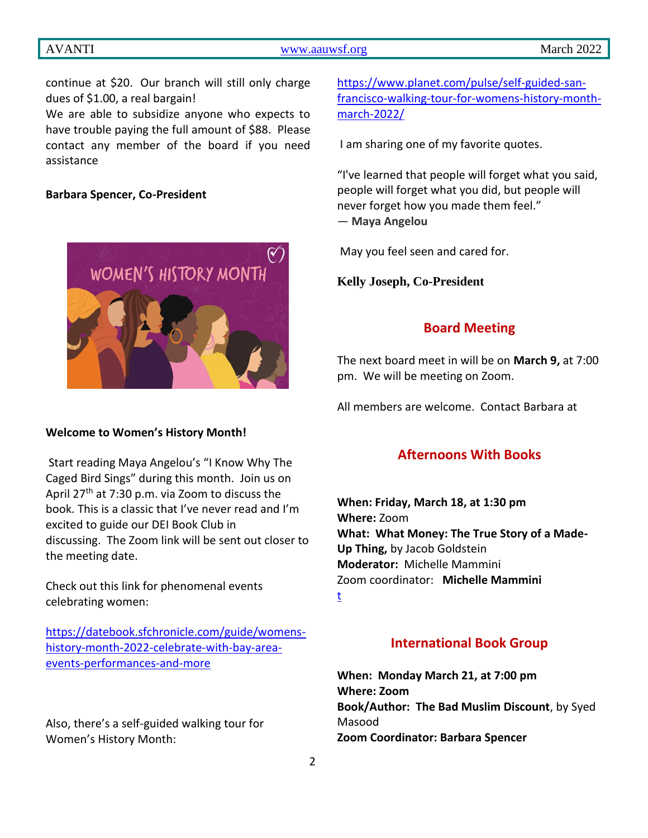AVANTI [www.aauwsf.org](http://www.aauwsf.org/) March 2022

continue at \$20. Our branch will still only charge dues of \$1.00, a real bargain!

We are able to subsidize anyone who expects to have trouble paying the full amount of \$88. Please contact any member of the board if you need assistance

#### **Barbara Spencer, Co-President**



#### **Welcome to Women's History Month!**

Start reading Maya Angelou's "I Know Why The Caged Bird Sings" during this month. Join us on April 27<sup>th</sup> at 7:30 p.m. via Zoom to discuss the book. This is a classic that I've never read and I'm excited to guide our DEI Book Club in discussing. The Zoom link will be sent out closer to the meeting date.

Check out this link for phenomenal events celebrating women:

[https://datebook.sfchronicle.com/guide/womens](https://datebook.sfchronicle.com/guide/womens-history-month-2022-celebrate-with-bay-area-events-performances-and-more)[history-month-2022-celebrate-with-bay-area](https://datebook.sfchronicle.com/guide/womens-history-month-2022-celebrate-with-bay-area-events-performances-and-more)[events-performances-and-more](https://datebook.sfchronicle.com/guide/womens-history-month-2022-celebrate-with-bay-area-events-performances-and-more)

Also, there's a self-guided walking tour for Women's History Month:

[https://www.planet.com/pulse/self-guided-san](https://www.planet.com/pulse/self-guided-san-francisco-walking-tour-for-womens-history-month-march-2022/)[francisco-walking-tour-for-womens-history-month](https://www.planet.com/pulse/self-guided-san-francisco-walking-tour-for-womens-history-month-march-2022/)[march-2022/](https://www.planet.com/pulse/self-guided-san-francisco-walking-tour-for-womens-history-month-march-2022/)

I am sharing one of my favorite quotes.

"I've learned that people will forget what you said, people will forget what you did, but people will never forget how you made them feel." ― **Maya Angelou**

May you feel seen and cared for.

**Kelly Joseph, Co-President**

## **Board Meeting**

The next board meet in will be on **March 9,** at 7:00 pm. We will be meeting on Zoom.

All members are welcome. Contact Barbara at

# **Afternoons With Books**

**When: Friday, March 18, at 1:30 pm Where:** Zoom **What: What Money: The True Story of a Made-Up Thing,** by Jacob Goldstein **Moderator:** Michelle Mammini Zoom coordinator: **Michelle Mammini** [t](file:///C:/Users/Corrine/Documents/Avanti/mmammini@pacbel.net)

## **International Book Group**

**When: Monday March 21, at 7:00 pm Where: Zoom Book/Author: The Bad Muslim Discount**, by Syed Masood **Zoom Coordinator: Barbara Spencer**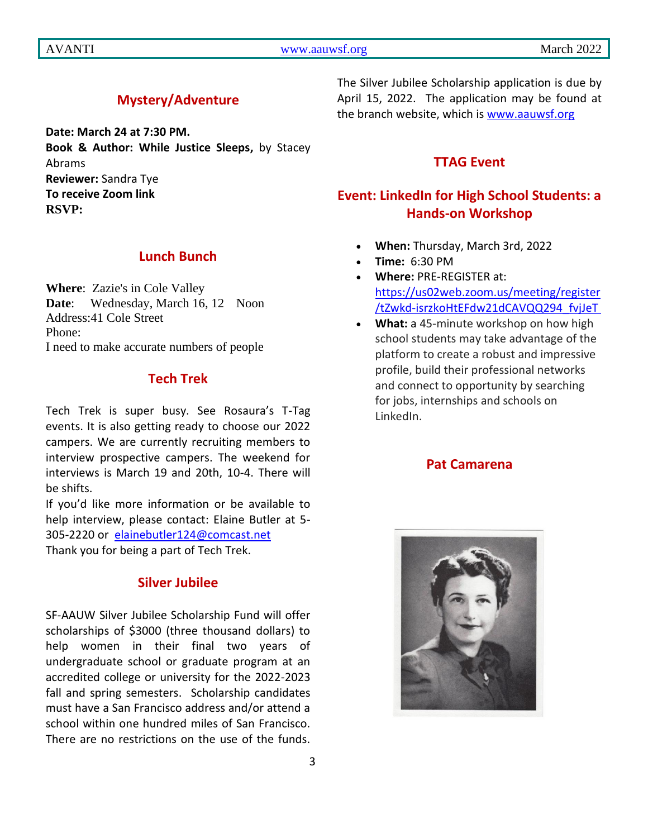## AVANTI [www.aauwsf.org](http://www.aauwsf.org/) March 2022

# **Mystery/Adventure**

**Date: March 24 at 7:30 PM. Book & Author: While Justice Sleeps,** by Stacey Abrams **Reviewer:** Sandra Tye **To receive Zoom link RSVP:** 

# **Lunch Bunch**

**Where**: Zazie's in Cole Valley Date: Wednesday, March 16, 12 Noon Address:41 Cole Street Phone: I need to make accurate numbers of people

# **Tech Trek**

Tech Trek is super busy. See Rosaura's T-Tag events. It is also getting ready to choose our 2022 campers. We are currently recruiting members to interview prospective campers. The weekend for interviews is March 19 and 20th, 10-4. There will be shifts.

If you'd like more information or be available to help interview, please contact: Elaine Butler at 5- 305-2220 or [elainebutler124@comcast.net](mailto:elainebutler124@comcast.net)

Thank you for being a part of Tech Trek.

# **Silver Jubilee**

SF-AAUW Silver Jubilee Scholarship Fund will offer scholarships of \$3000 (three thousand dollars) to help women in their final two years of undergraduate school or graduate program at an accredited college or university for the 2022-2023 fall and spring semesters. Scholarship candidates must have a San Francisco address and/or attend a school within one hundred miles of San Francisco. There are no restrictions on the use of the funds.

The Silver Jubilee Scholarship application is due by April 15, 2022. The application may be found at the branch website, which is [www.aauwsf.org](www.aauwsf.org%20)

## **TTAG Event**

# **Event: LinkedIn for High School Students: a Hands-on Workshop**

- **When:** Thursday, March 3rd, 2022
- **Time:** 6:30 PM
- **Where:** PRE-REGISTER at: [https://us02web.zoom.us/meeting/register](https://us02web.zoom.us/meeting/register/tZwkd-isrzkoHtEFdw21dCAVQQ294_fvjJeT) [/tZwkd-isrzkoHtEFdw21dCAVQQ294\\_fvjJeT](https://us02web.zoom.us/meeting/register/tZwkd-isrzkoHtEFdw21dCAVQQ294_fvjJeT)
- **What:** a 45-minute workshop on how high school students may take advantage of the platform to create a robust and impressive profile, build their professional networks and connect to opportunity by searching for jobs, internships and schools on LinkedIn.

## **Pat Camarena**

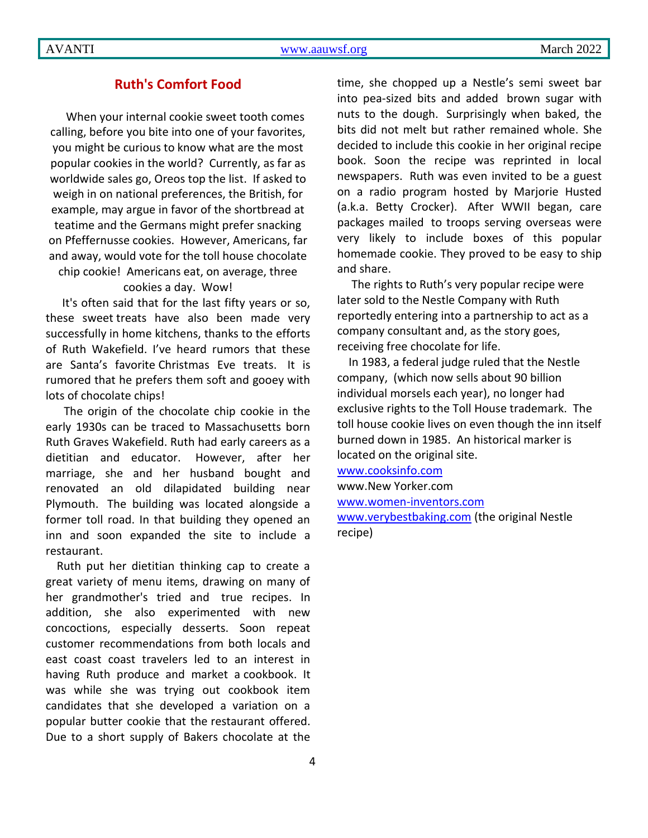# **Ruth's Comfort Food**

When your internal cookie sweet tooth comes calling, before you bite into one of your favorites, you might be curious to know what are the most popular cookies in the world? Currently, as far as worldwide sales go, Oreos top the list. If asked to weigh in on national preferences, the British, for example, may argue in favor of the shortbread at teatime and the Germans might prefer snacking on Pfeffernusse cookies. However, Americans, far and away, would vote for the toll house chocolate chip cookie! Americans eat, on average, three

# cookies a day. Wow!

It's often said that for the last fifty years or so, these sweet treats have also been made very successfully in home kitchens, thanks to the efforts of Ruth Wakefield. I've heard rumors that these are Santa's favorite Christmas Eve treats. It is rumored that he prefers them soft and gooey with lots of chocolate chips!

The origin of the chocolate chip cookie in the early 1930s can be traced to Massachusetts born Ruth Graves Wakefield. Ruth had early careers as a dietitian and educator. However, after her marriage, she and her husband bought and renovated an old dilapidated building near Plymouth. The building was located alongside a former toll road. In that building they opened an inn and soon expanded the site to include a restaurant.

Ruth put her dietitian thinking cap to create a great variety of menu items, drawing on many of her grandmother's tried and true recipes. In addition, she also experimented with new concoctions, especially desserts. Soon repeat customer recommendations from both locals and east coast coast travelers led to an interest in having Ruth produce and market a cookbook. It was while she was trying out cookbook item candidates that she developed a variation on a popular butter cookie that the restaurant offered. Due to a short supply of Bakers chocolate at the time, she chopped up a Nestle's semi sweet bar into pea-sized bits and added brown sugar with nuts to the dough. Surprisingly when baked, the bits did not melt but rather remained whole. She decided to include this cookie in her original recipe book. Soon the recipe was reprinted in local newspapers. Ruth was even invited to be a guest on a radio program hosted by Marjorie Husted (a.k.a. Betty Crocker). After WWII began, care packages mailed to troops serving overseas were very likely to include boxes of this popular homemade cookie. They proved to be easy to ship and share.

The rights to Ruth's very popular recipe were later sold to the Nestle Company with Ruth reportedly entering into a partnership to act as a company consultant and, as the story goes, receiving free chocolate for life.

In 1983, a federal judge ruled that the Nestle company, (which now sells about 90 billion individual morsels each year), no longer had exclusive rights to the Toll House trademark. The toll house cookie lives on even though the inn itself burned down in 1985. An historical marker is located on the original site.

[www.cooksinfo.com](http://www.cooksinfo.com/)

www.New Yorker.com

[www.women-inventors.com](http://www.women-inventors.com/)

[www.verybestbaking.com](http://www.verybestbaking.com/) (the original Nestle recipe)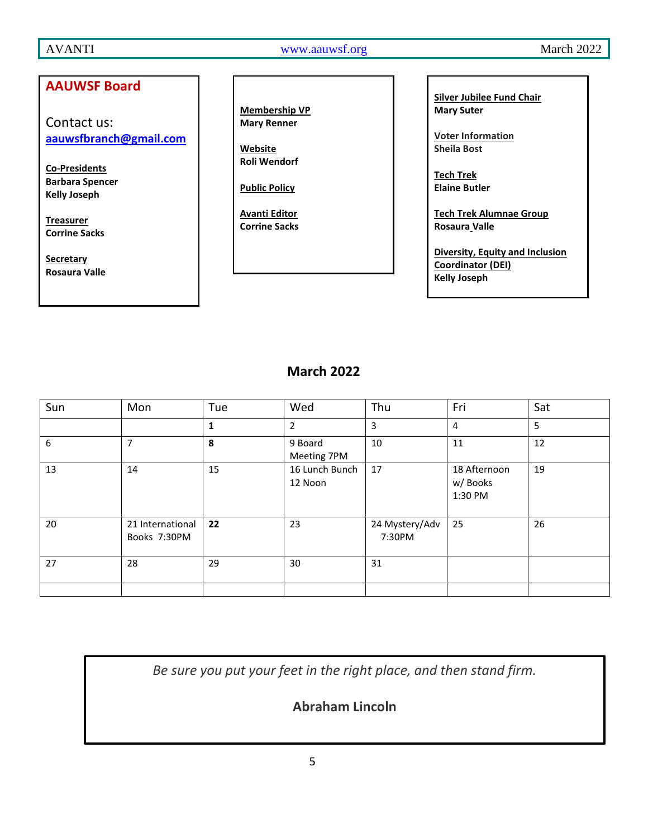AVANTI [www.aauwsf.org](http://www.aauwsf.org/) March 2022

# **AAUWSF Board**

Contact us: **[aauwsfbranch@gmail.com](file:///C:/Users/Corrine/Documents/Avanti/aauwsfbranch@gmail.com)**

**Co-Presidents Barbara Spencer Kelly Joseph**

**Treasurer Corrine Sacks**

**Secretary Rosaura Valle**

**Membership VP Mary Renner**

**Website Roli Wendorf**

**Public Policy**

**Avanti Editor Corrine Sacks** **Silver Jubilee Fund Chair Mary Suter**

**Voter Information Sheila Bost**

**Tech Trek Elaine Butler**

**Tech Trek Alumnae Group Rosaura Valle**

**Diversity, Equity and Inclusion Coordinator (DEI) Kelly Joseph**

# **March 2022**

| Sun | Mon                              | Tue          | Wed                       | Thu                      | Fri                                | Sat |
|-----|----------------------------------|--------------|---------------------------|--------------------------|------------------------------------|-----|
|     |                                  | $\mathbf{1}$ | $\overline{2}$            | 3                        | $\overline{4}$                     | 5   |
| 6   | $\overline{7}$                   | 8            | 9 Board<br>Meeting 7PM    | 10                       | 11                                 | 12  |
| 13  | 14                               | 15           | 16 Lunch Bunch<br>12 Noon | 17                       | 18 Afternoon<br>w/Books<br>1:30 PM | 19  |
| 20  | 21 International<br>Books 7:30PM | 22           | 23                        | 24 Mystery/Adv<br>7:30PM | 25                                 | 26  |
| 27  | 28                               | 29           | 30                        | 31                       |                                    |     |
|     |                                  |              |                           |                          |                                    |     |

*Be sure you put your feet in the right place, and then stand firm.*

**Abraham Lincoln**